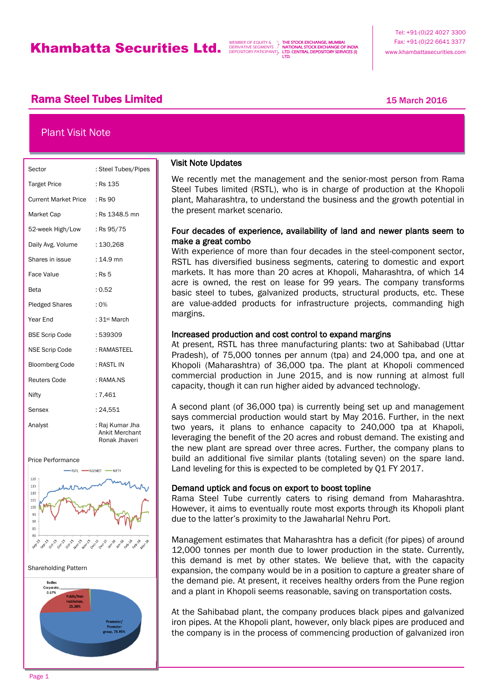THE STOCK EXCHANGE, MUMBAI NATIONAL STOCK EXCHANGE OF INDIA LTD. CENTRAL DEPOSITORY SERVICES (I) LTD.

# **Rama Steel Tubes Limited 15 March 2016** 15 March 2016

## Plant Visit Note

| Sector                       | : Steel Tubes/Pipes                                       |
|------------------------------|-----------------------------------------------------------|
| <b>Target Price</b>          | : Rs 135                                                  |
| Current Market Price : Rs 90 |                                                           |
| Market Cap                   | : Rs 1348.5 mn                                            |
| 52-week High/Low             | : Rs 95/75                                                |
| Daily Avg. Volume            | : 130,268                                                 |
| Shares in issue              | $: 14.9$ mn                                               |
| <b>Face Value</b>            | : Rs 5                                                    |
| Beta                         | : 0.52                                                    |
| <b>Pledged Shares</b>        | $: 0\%$                                                   |
| Year End                     | : 31 <sup>st</sup> March                                  |
| <b>BSE Scrip Code</b>        | : 539309                                                  |
| <b>NSE Scrip Code</b>        | : RAMASTEEL                                               |
| <b>Bloomberg Code</b>        | : RASTL IN                                                |
| <b>Reuters Code</b>          | : RAMA.NS                                                 |
| Nifty                        | :7,461                                                    |
| Sensex                       | : 24,551                                                  |
| Analyst                      | : Raj Kumar Jha<br><b>Ankit Merchant</b><br>Ronak Jhaveri |

Price Performance







## Visit Note Updates

j

We recently met the management and the senior-most person from Rama Steel Tubes limited (RSTL), who is in charge of production at the Khopoli plant, Maharashtra, to understand the business and the growth potential in the present market scenario.

### Four decades of experience, availability of land and newer plants seem to make a great combo

With experience of more than four decades in the steel-component sector. RSTL has diversified business segments, catering to domestic and export markets. It has more than 20 acres at Khopoli, Maharashtra, of which 14 acre is owned, the rest on lease for 99 years. The company transforms basic steel to tubes, galvanized products, structural products, etc. These are value-added products for infrastructure projects, commanding high margins.

### Increased production and cost control to expand margins

At present, RSTL has three manufacturing plants: two at Sahibabad (Uttar Pradesh), of 75,000 tonnes per annum (tpa) and 24,000 tpa, and one at Khopoli (Maharashtra) of 36,000 tpa. The plant at Khopoli commenced commercial production in June 2015, and is now running at almost full capacity, though it can run higher aided by advanced technology.

A second plant (of 36,000 tpa) is currently being set up and management says commercial production would start by May 2016. Further, in the next two years, it plans to enhance capacity to 240,000 tpa at Khapoli, leveraging the benefit of the 20 acres and robust demand. The existing and the new plant are spread over three acres. Further, the company plans to build an additional five similar plants (totaling seven) on the spare land. Land leveling for this is expected to be completed by Q1 FY 2017.

### Demand uptick and focus on export to boost topline

Rama Steel Tube currently caters to rising demand from Maharashtra. However, it aims to eventually route most exports through its Khopoli plant due to the latter's proximity to the Jawaharlal Nehru Port.

Management estimates that Maharashtra has a deficit (for pipes) of around 12,000 tonnes per month due to lower production in the state. Currently, this demand is met by other states. We believe that, with the capacity expansion, the company would be in a position to capture a greater share of the demand pie. At present, it receives healthy orders from the Pune region and a plant in Khopoli seems reasonable, saving on transportation costs.

At the Sahibabad plant, the company produces black pipes and galvanized iron pipes. At the Khopoli plant, however, only black pipes are produced and the company is in the process of commencing production of galvanized iron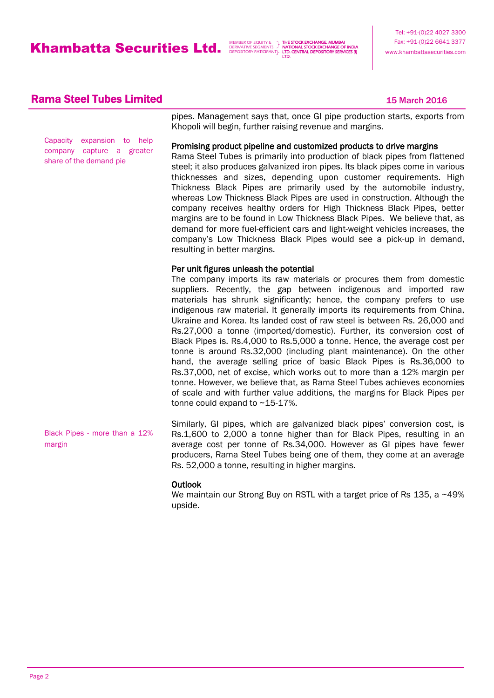THE STOCK EXCHANGE, MUMBAI NATIONAL STOCK EXCHANGE OF INDIA LTD. CENTRAL DEPOSITORY SERVICES (I) LTD.

## **Rama Steel Tubes Limited 15 March 2016** 15 March 2016

Capacity expansion to help company capture a greater share of the demand pie

pipes. Management says that, once GI pipe production starts, exports from Khopoli will begin, further raising revenue and margins.

#### Promising product pipeline and customized products to drive margins

Rama Steel Tubes is primarily into production of black pipes from flattened steel; it also produces galvanized iron pipes. Its black pipes come in various thicknesses and sizes, depending upon customer requirements. High Thickness Black Pipes are primarily used by the automobile industry, whereas Low Thickness Black Pipes are used in construction. Although the company receives healthy orders for High Thickness Black Pipes, better margins are to be found in Low Thickness Black Pipes. We believe that, as demand for more fuel-efficient cars and light-weight vehicles increases, the company's Low Thickness Black Pipes would see a pick-up in demand, resulting in better margins.

### Per unit figures unleash the potential

The company imports its raw materials or procures them from domestic suppliers. Recently, the gap between indigenous and imported raw materials has shrunk significantly; hence, the company prefers to use indigenous raw material. It generally imports its requirements from China, Ukraine and Korea. Its landed cost of raw steel is between Rs. 26,000 and Rs.27,000 a tonne (imported/domestic). Further, its conversion cost of Black Pipes is. Rs.4,000 to Rs.5,000 a tonne. Hence, the average cost per tonne is around Rs.32,000 (including plant maintenance). On the other hand, the average selling price of basic Black Pipes is Rs.36,000 to Rs.37,000, net of excise, which works out to more than a 12% margin per tonne. However, we believe that, as Rama Steel Tubes achieves economies of scale and with further value additions, the margins for Black Pipes per tonne could expand to ~15-17%.

Similarly, GI pipes, which are galvanized black pipes' conversion cost, is Rs.1,600 to 2,000 a tonne higher than for Black Pipes, resulting in an average cost per tonne of Rs.34,000. However as GI pipes have fewer producers, Rama Steel Tubes being one of them, they come at an average Rs. 52,000 a tonne, resulting in higher margins. Black Pipes - more than a 12% margin

### **Outlook**

We maintain our Strong Buy on RSTL with a target price of Rs 135, a ~49% upside.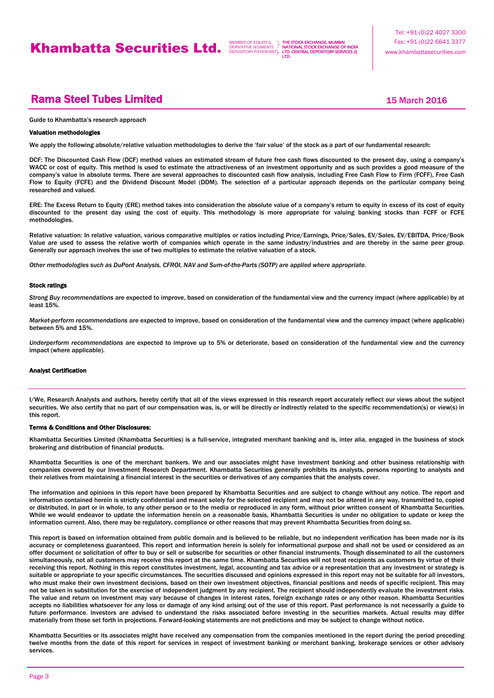THE STOCK EXCHANGE, MUMBAI NATIONAL STOCK EXCHANGE OF INDIA LTD. CENTRAL DEPOSITORY SERVICES (I) LTD.

# **Rama Steel Tubes Limited 15 March 2016** 15 March 2016

#### Guide to Khambatta's research approach

#### Valuation methodologies

We apply the following absolute/relative valuation methodologies to derive the 'fair value' of the stock as a part of our fundamental research:

DCF: The Discounted Cash Flow (DCF) method values an estimated stream of future free cash flows discounted to the present day, using a company's WACC or cost of equity. This method is used to estimate the attractiveness of an investment opportunity and as such provides a good measure of the company's value in absolute terms. There are several approaches to discounted cash flow analysis, including Free Cash Flow to Firm (FCFF), Free Cash Flow to Equity (FCFE) and the Dividend Discount Model (DDM). The selection of a particular approach depends on the particular company being researched and valued.

ERE: The Excess Return to Equity (ERE) method takes into consideration the absolute value of a company's return to equity in excess of its cost of equity discounted to the present day using the cost of equity. This methodology is more appropriate for valuing banking stocks than FCFF or FCFE methodologies.

Relative valuation: In relative valuation, various comparative multiples or ratios including Price/Earnings, Price/Sales, EV/Sales, EV/EBITDA, Price/Book Value are used to assess the relative worth of companies which operate in the same industry/industries and are thereby in the same peer group. Generally our approach involves the use of two multiples to estimate the relative valuation of a stock.

*Other methodologies such as DuPont Analysis, CFROI, NAV and Sum-of-the-Parts (SOTP) are applied where appropriate.*

#### Stock ratings

*Strong Buy recommendations* are expected to improve, based on consideration of the fundamental view and the currency impact (where applicable) by at least 15%.

*Market-perform recommendations* are expected to improve, based on consideration of the fundamental view and the currency impact (where applicable) between 5% and 15%.

*Underperform recommendations* are expected to improve up to 5% or deteriorate, based on consideration of the fundamental view and the currency impact (where applicable).

#### Analyst Certification

I/We, Research Analysts and authors, hereby certify that all of the views expressed in this research report accurately reflect our views about the subject securities. We also certify that no part of our compensation was, is, or will be directly or indirectly related to the specific recommendation(s) or view(s) in this report.

#### Terms & Conditions and Other Disclosures:

Khambatta Securities Limited (Khambatta Securities) is a full-service, integrated merchant banking and is, inter alia, engaged in the business of stock brokering and distribution of financial products.

Khambatta Securities is one of the merchant bankers. We and our associates might have investment banking and other business relationship with companies covered by our Investment Research Department. Khambatta Securities generally prohibits its analysts, persons reporting to analysts and their relatives from maintaining a financial interest in the securities or derivatives of any companies that the analysts cover.

The information and opinions in this report have been prepared by Khambatta Securities and are subject to change without any notice. The report and information contained herein is strictly confidential and meant solely for the selected recipient and may not be altered in any way, transmitted to, copied or distributed, in part or in whole, to any other person or to the media or reproduced in any form, without prior written consent of Khambatta Securities. While we would endeavor to update the information herein on a reasonable basis, Khambatta Securities is under no obligation to update or keep the information current. Also, there may be regulatory, compliance or other reasons that may prevent Khambatta Securities from doing so.

This report is based on information obtained from public domain and is believed to be reliable, but no independent verification has been made nor is its accuracy or completeness guaranteed. This report and information herein is solely for informational purpose and shall not be used or considered as an offer document or solicitation of offer to buy or sell or subscribe for securities or other financial instruments. Though disseminated to all the customers simultaneously, not all customers may receive this report at the same time. Khambatta Securities will not treat recipients as customers by virtue of their receiving this report. Nothing in this report constitutes investment, legal, accounting and tax advice or a representation that any investment or strategy is suitable or appropriate to your specific circumstances. The securities discussed and opinions expressed in this report may not be suitable for all investors, who must make their own investment decisions, based on their own investment objectives, financial positions and needs of specific recipient. This may not be taken in substitution for the exercise of independent judgment by any recipient. The recipient should independently evaluate the investment risks. The value and return on investment may vary because of changes in interest rates, foreign exchange rates or any other reason. Khambatta Securities accepts no liabilities whatsoever for any loss or damage of any kind arising out of the use of this report. Past performance is not necessarily a guide to future performance. Investors are advised to understand the risks associated before investing in the securities markets. Actual results may differ materially from those set forth in projections. Forward-looking statements are not predictions and may be subject to change without notice.

Khambatta Securities or its associates might have received any compensation from the companies mentioned in the report during the period preceding twelve months from the date of this report for services in respect of investment banking or merchant banking, brokerage services or other advisory services.